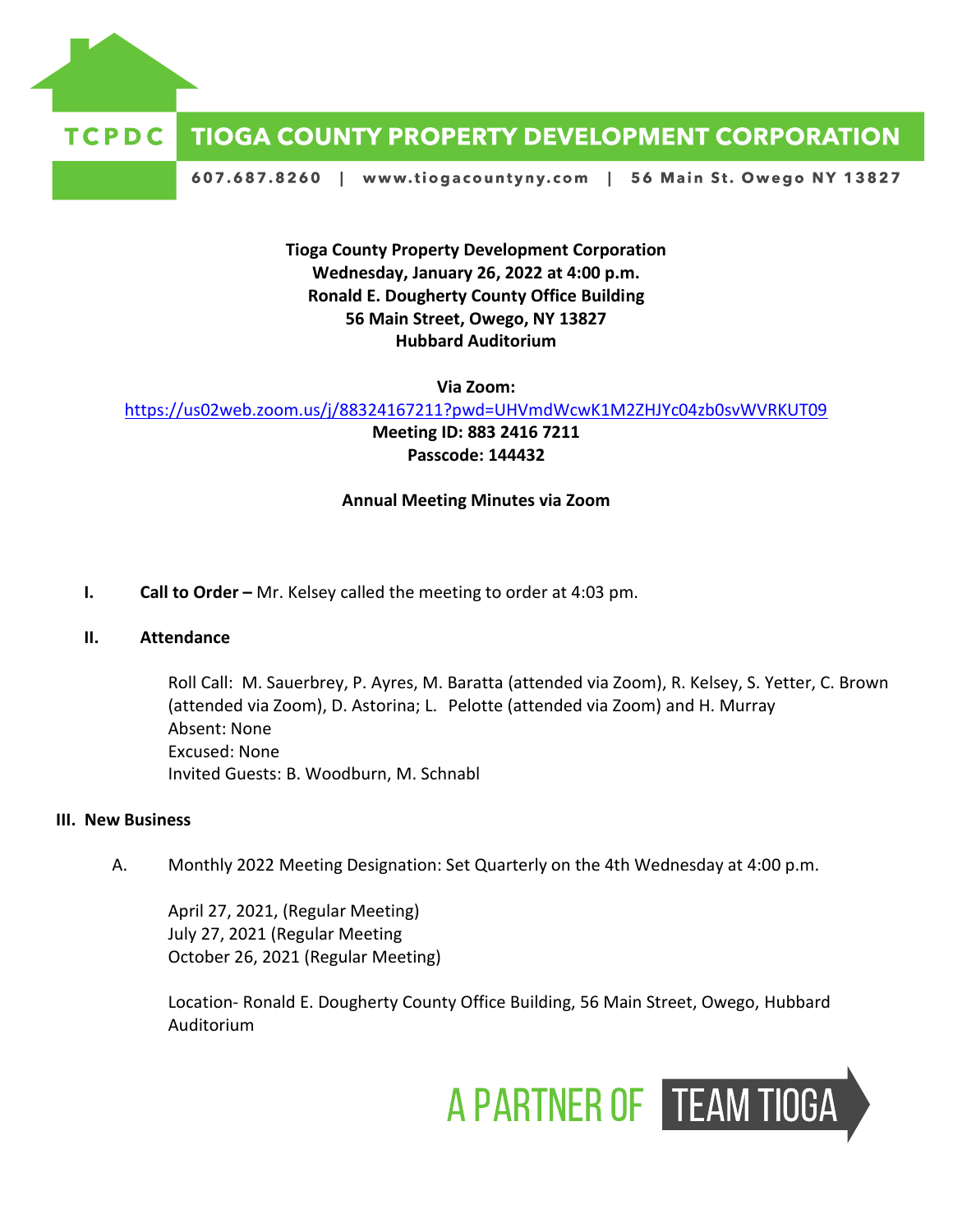

## **TCPDC TIOGA COUNTY PROPERTY DEVELOPMENT CORPORATION**

607.687.8260 | www.tiogacountyny.com | 56 Main St. Owego NY 13827

**Tioga County Property Development Corporation Wednesday, January 26, 2022 at 4:00 p.m. Ronald E. Dougherty County Office Building 56 Main Street, Owego, NY 13827 Hubbard Auditorium**

**Via Zoom:**

<https://us02web.zoom.us/j/88324167211?pwd=UHVmdWcwK1M2ZHJYc04zb0svWVRKUT09>

**Meeting ID: 883 2416 7211 Passcode: 144432**

## **Annual Meeting Minutes via Zoom**

**I. Call to Order –** Mr. Kelsey called the meeting to order at 4:03 pm.

## **II. Attendance**

Roll Call: M. Sauerbrey, P. Ayres, M. Baratta (attended via Zoom), R. Kelsey, S. Yetter, C. Brown (attended via Zoom), D. Astorina; L. Pelotte (attended via Zoom) and H. Murray Absent: None Excused: None Invited Guests: B. Woodburn, M. Schnabl

## **III. New Business**

A. Monthly 2022 Meeting Designation: Set Quarterly on the 4th Wednesday at 4:00 p.m.

April 27, 2021, (Regular Meeting) July 27, 2021 (Regular Meeting October 26, 2021 (Regular Meeting)

Location- Ronald E. Dougherty County Office Building, 56 Main Street, Owego, Hubbard Auditorium

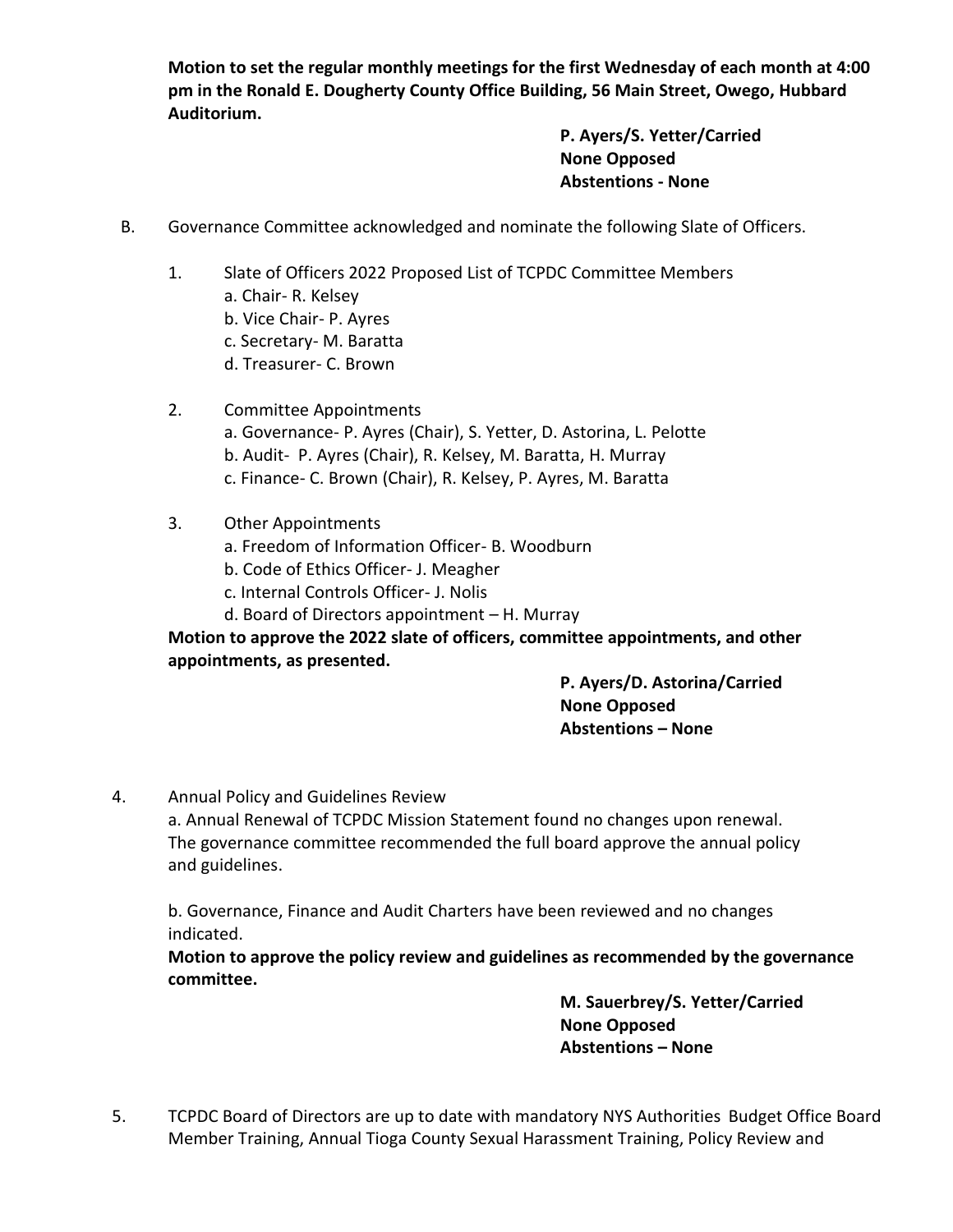**Motion to set the regular monthly meetings for the first Wednesday of each month at 4:00 pm in the Ronald E. Dougherty County Office Building, 56 Main Street, Owego, Hubbard Auditorium.**

> **P. Ayers/S. Yetter/Carried None Opposed Abstentions - None**

- B. Governance Committee acknowledged and nominate the following Slate of Officers.
	- 1. Slate of Officers 2022 Proposed List of TCPDC Committee Members a. Chair- R. Kelsey b. Vice Chair- P. Ayres c. Secretary- M. Baratta d. Treasurer- C. Brown
	- 2. Committee Appointments a. Governance- P. Ayres (Chair), S. Yetter, D. Astorina, L. Pelotte b. Audit- P. Ayres (Chair), R. Kelsey, M. Baratta, H. Murray c. Finance- C. Brown (Chair), R. Kelsey, P. Ayres, M. Baratta
	- 3. Other Appointments
		- a. Freedom of Information Officer- B. Woodburn
		- b. Code of Ethics Officer- J. Meagher
		- c. Internal Controls Officer- J. Nolis
		- d. Board of Directors appointment H. Murray

**Motion to approve the 2022 slate of officers, committee appointments, and other appointments, as presented.**

> **P. Ayers/D. Astorina/Carried None Opposed Abstentions – None**

4. Annual Policy and Guidelines Review

a. Annual Renewal of TCPDC Mission Statement found no changes upon renewal. The governance committee recommended the full board approve the annual policy and guidelines.

b. Governance, Finance and Audit Charters have been reviewed and no changes indicated.

**Motion to approve the policy review and guidelines as recommended by the governance committee.**

> **M. Sauerbrey/S. Yetter/Carried None Opposed Abstentions – None**

5. TCPDC Board of Directors are up to date with mandatory NYS Authorities Budget Office Board Member Training, Annual Tioga County Sexual Harassment Training, Policy Review and